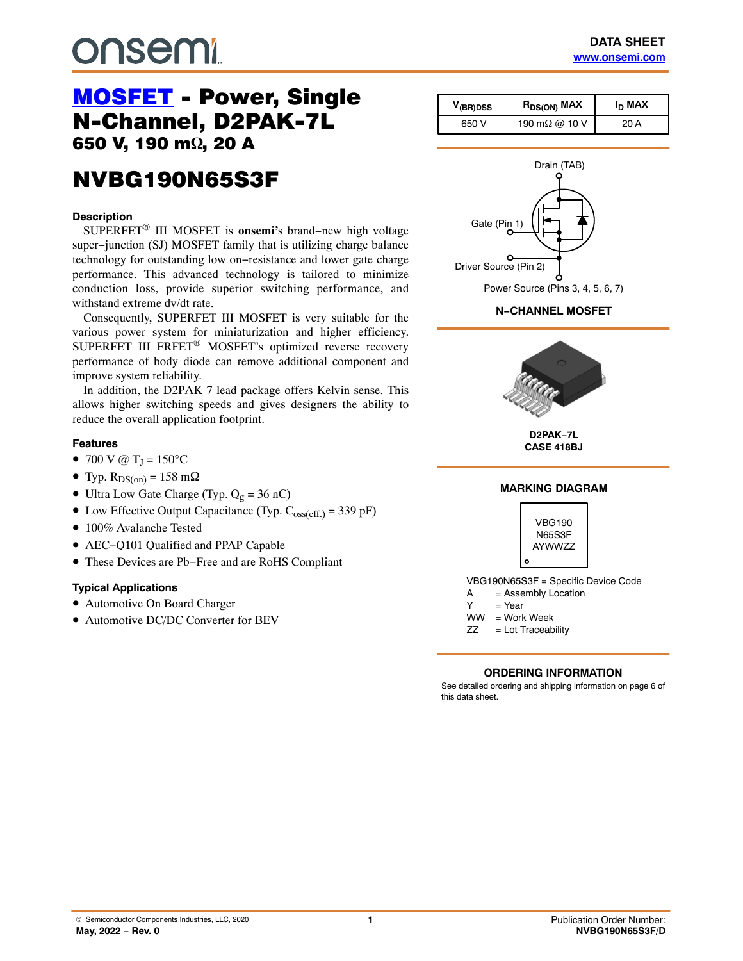# **DUSEMI**

# [MOSFET](https://www.onsemi.com/products/discretes-drivers/mosfets) - Power, Single<br>N-Channel, D2PAK-7L 650 V, 190 m $\Omega$ , 20 A ,  $\overline{\phantom{a}}$

## **NVBG190N65S3F** NVBG190N65S3F

#### **Description**

SUPERFET® III MOSFET is **onsemi'**s brand−new high voltage super−junction (SJ) MOSFET family that is utilizing charge balance technology for outstanding low on−resistance and lower gate charge performance. This advanced technology is tailored to minimize conduction loss, provide superior switching performance, and withstand extreme dv/dt rate.

Consequently, SUPERFET III MOSFET is very suitable for the various power system for miniaturization and higher efficiency. SUPERFET III FRFET® MOSFET's optimized reverse recovery performance of body diode can remove additional component and improve system reliability.

In addition, the D2PAK 7 lead package offers Kelvin sense. This allows higher switching speeds and gives designers the ability to reduce the overall application footprint.

#### **Features**

- 700 V @  $T_J = 150$ °C
- Typ.  $R_{DS(on)} = 158$  m $\Omega$
- Ultra Low Gate Charge (Typ.  $Q_g = 36$  nC)
- Low Effective Output Capacitance (Typ.  $C_{oss(eff.)} = 339$  pF)
- 100% Avalanche Tested
- AEC−Q101 Qualified and PPAP Capable
- These Devices are Pb−Free and are RoHS Compliant

#### **Typical Applications**

- Automotive On Board Charger
- Automotive DC/DC Converter for BEV

| $V_{(BR)DSS}$ | I <sub>D</sub> MAX<br>R <sub>DS(ON)</sub> MAX |      |
|---------------|-----------------------------------------------|------|
| 650 V         | 190 mΩ @ 10 V                                 | 20 A |



#### **N−CHANNEL MOSFET**



**D2PAK−7L CASE 418BJ**

#### **MARKING DIAGRAM**



VBG190N65S3F = Specific Device Code

- A = Assembly Location
- $Y = Year$
- WW = Work Week
- ZZ = Lot Traceability

#### **ORDERING INFORMATION**

See detailed ordering and shipping information on page [6](#page-5-0) of this data sheet.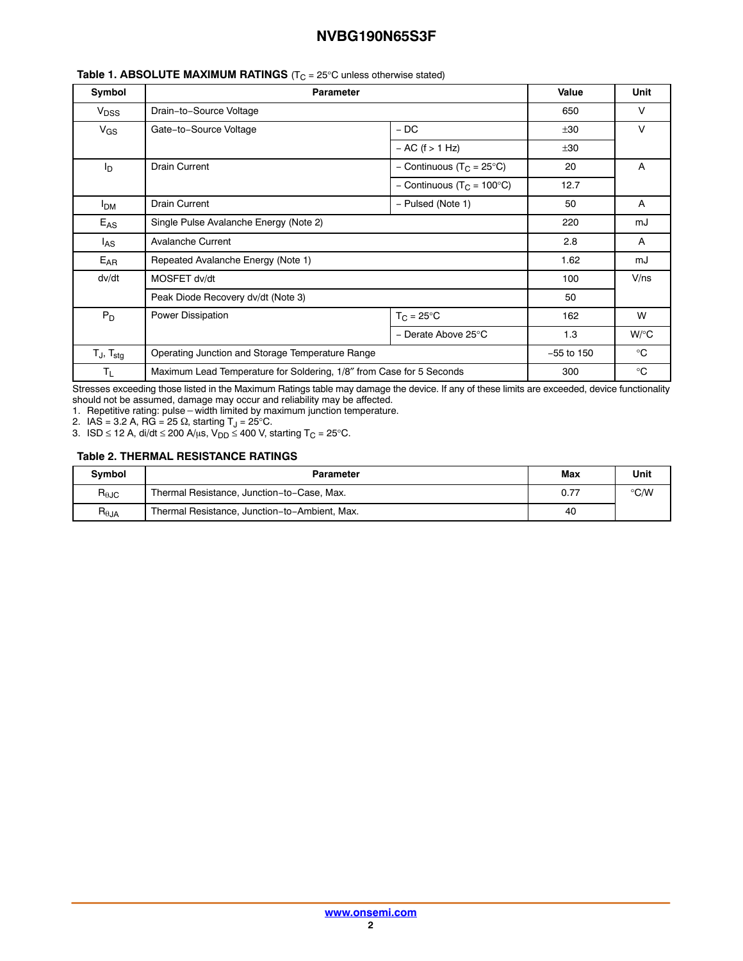| Symbol                | <b>Parameter</b>                                                     |                                       | Value        | <b>Unit</b>  |
|-----------------------|----------------------------------------------------------------------|---------------------------------------|--------------|--------------|
| V <sub>DSS</sub>      | Drain-to-Source Voltage                                              |                                       | 650          | v            |
| $V_{GS}$              | Gate-to-Source Voltage                                               | $-DC$                                 | ±30          | V            |
|                       |                                                                      | $- AC$ (f $> 1 Hz$ )                  | ±30          |              |
| Iр                    | <b>Drain Current</b>                                                 | - Continuous (T <sub>C</sub> = 25°C)  | 20           | A            |
|                       |                                                                      | - Continuous (T <sub>C</sub> = 100°C) | 12.7         |              |
| <b>I<sub>DM</sub></b> | <b>Drain Current</b>                                                 | - Pulsed (Note 1)                     | 50           | A            |
| $E_{AS}$              | Single Pulse Avalanche Energy (Note 2)                               |                                       | 220          | mJ           |
| l <sub>AS</sub>       | <b>Avalanche Current</b>                                             |                                       | 2.8          | A            |
| $E_{AR}$              | Repeated Avalanche Energy (Note 1)                                   |                                       | 1.62         | mJ           |
| dv/dt                 | MOSFET dv/dt                                                         |                                       | 100          | V/ns         |
|                       | Peak Diode Recovery dv/dt (Note 3)                                   |                                       | 50           |              |
| $P_D$                 | Power Dissipation                                                    | $T_{\rm C}$ = 25°C                    | 162          | W            |
|                       |                                                                      | - Derate Above 25°C                   | 1.3          | $W$ /°C      |
| $T_J$ , $T_{stg}$     | Operating Junction and Storage Temperature Range                     |                                       | $-55$ to 150 | $^{\circ}$ C |
| $T_{L}$               | Maximum Lead Temperature for Soldering, 1/8" from Case for 5 Seconds |                                       | 300          | $^{\circ}$ C |

#### **Table 1. ABSOLUTE MAXIMUM RATINGS** (T<sub>C</sub> = 25°C unless otherwise stated)

Stresses exceeding those listed in the Maximum Ratings table may damage the device. If any of these limits are exceeded, device functionality

should not be assumed, damage may occur and reliability may be affected. 1. Repetitive rating: pulse-width limited by maximum junction temperature.

2. IAS = 3.2 A, RG = 25  $\Omega$ , starting T<sub>J</sub> = 25°C.

3. ISD ≤ 12 A, di/dt ≤ 200 A/μs, V<sub>DD</sub> ≤ 400 V, starting T<sub>C</sub> = 25°C.

#### **Table 2. THERMAL RESISTANCE RATINGS**

| <b>Symbol</b>                    | Parameter                                     | Max | Unit          |
|----------------------------------|-----------------------------------------------|-----|---------------|
| $R_{\theta$ JC                   | Thermal Resistance, Junction-to-Case, Max.    |     | $\degree$ C/W |
| $\mathsf{R}_{\theta\mathsf{JA}}$ | Thermal Resistance, Junction-to-Ambient, Max. | 40  |               |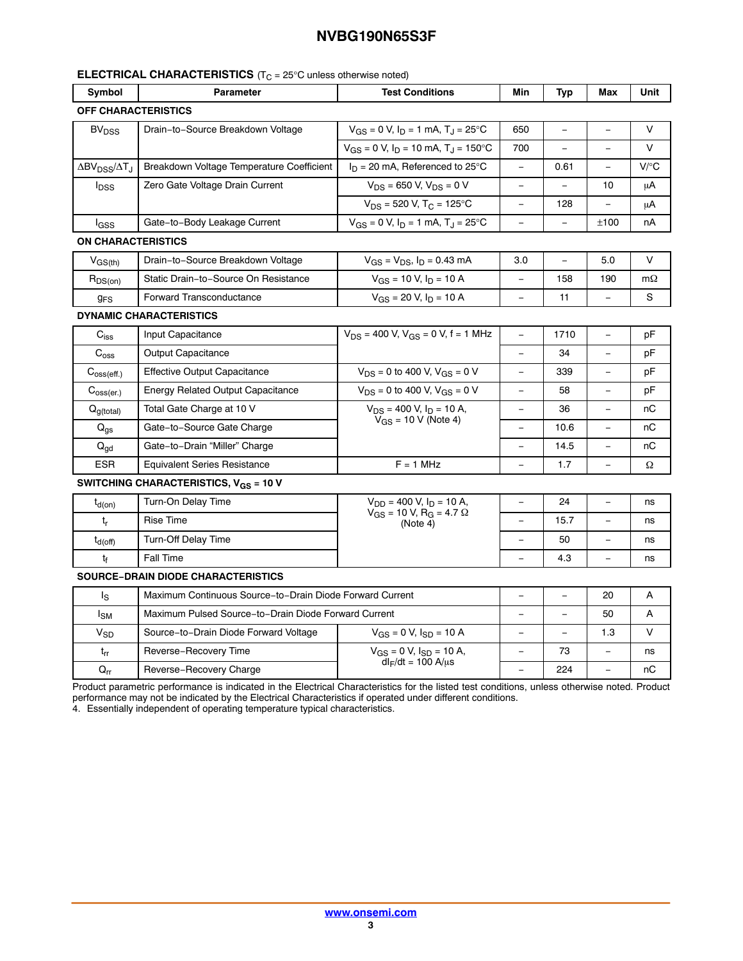#### **ELECTRICAL CHARACTERISTICS** (T<sub>C</sub> = 25°C unless otherwise noted)

| Symbol                                                       | <b>Parameter</b>                                         | <b>Test Conditions</b>                                  | Min                      | Typ      | Max                      | Unit      |
|--------------------------------------------------------------|----------------------------------------------------------|---------------------------------------------------------|--------------------------|----------|--------------------------|-----------|
| <b>OFF CHARACTERISTICS</b>                                   |                                                          |                                                         |                          |          |                          |           |
| Drain-to-Source Breakdown Voltage<br><b>BV<sub>DSS</sub></b> |                                                          | $V_{GS} = 0$ V, $I_D = 1$ mA, $T_J = 25$ °C             | 650                      | $\equiv$ |                          | V         |
|                                                              |                                                          | $V_{GS}$ = 0 V, $I_D$ = 10 mA, $T_J$ = 150°C            | 700                      | $\equiv$ | $\equiv$                 | $\vee$    |
| $\Delta$ BV <sub>DSS</sub> / $\Delta$ T <sub>J</sub>         | Breakdown Voltage Temperature Coefficient                | $I_D = 20$ mA, Referenced to 25°C                       | $\equiv$                 | 0.61     | $\overline{\phantom{0}}$ | V/C       |
| $I_{\text{DSS}}$                                             | Zero Gate Voltage Drain Current                          | $V_{DS}$ = 650 V, $V_{DS}$ = 0 V                        |                          |          | 10                       | μA        |
|                                                              |                                                          | $V_{DS}$ = 520 V, T <sub>C</sub> = 125°C                | $\overline{\phantom{0}}$ | 128      |                          | μA        |
| l <sub>GSS</sub>                                             | Gate-to-Body Leakage Current                             | $V_{GS} = 0$ V, $I_D = 1$ mA, $T_J = 25$ °C             | $\overline{\phantom{0}}$ | $\equiv$ | ±100                     | nA        |
| <b>ON CHARACTERISTICS</b>                                    |                                                          |                                                         |                          |          |                          |           |
| $V_{GS(th)}$                                                 | Drain-to-Source Breakdown Voltage                        | $V_{GS} = V_{DS}$ , $I_D = 0.43$ mA                     | 3.0                      | $\equiv$ | 5.0                      | V         |
| $R_{DS(on)}$                                                 | Static Drain-to-Source On Resistance                     | $V_{GS}$ = 10 V, $I_D$ = 10 A                           | $\equiv$                 | 158      | 190                      | $m\Omega$ |
| <b>g<sub>FS</sub></b>                                        | Forward Transconductance                                 | $V_{GS}$ = 20 V, $I_D$ = 10 A                           | $\overline{\phantom{0}}$ | 11       |                          | S         |
|                                                              | <b>DYNAMIC CHARACTERISTICS</b>                           |                                                         |                          |          |                          |           |
| $C_{iss}$                                                    | Input Capacitance                                        | $V_{DS}$ = 400 V, $V_{GS}$ = 0 V, f = 1 MHz             | $\equiv$                 | 1710     | $\equiv$                 | pF        |
| $C_{\text{oss}}$                                             | <b>Output Capacitance</b>                                |                                                         |                          | 34       |                          | рF        |
| $C_{\text{oss}(eff.)}$                                       | <b>Effective Output Capacitance</b>                      | $V_{DS}$ = 0 to 400 V, $V_{GS}$ = 0 V                   | $\overline{\phantom{0}}$ | 339      |                          | рF        |
| $C_{\text{oss}(er.)}$                                        | <b>Energy Related Output Capacitance</b>                 | $V_{DS}$ = 0 to 400 V, $V_{GS}$ = 0 V                   | $\equiv$                 | 58       |                          | pF        |
| $Q_{g(total)}$                                               | Total Gate Charge at 10 V                                | $V_{DS}$ = 400 V, $I_D$ = 10 A,                         |                          | 36       |                          | nС        |
| $Q_{\text{qs}}$                                              | Gate-to-Source Gate Charge                               | $V_{GS}$ = 10 V (Note 4)                                | $\qquad \qquad -$        | 10.6     | $\equiv$                 | пC        |
| $\mathsf{Q}_{\mathsf{gd}}$                                   | Gate-to-Drain "Miller" Charge                            |                                                         |                          | 14.5     |                          | пC        |
| <b>ESR</b>                                                   | <b>Equivalent Series Resistance</b>                      | $F = 1$ MHz                                             | $\overline{\phantom{0}}$ | 1.7      |                          | Ω         |
|                                                              | SWITCHING CHARACTERISTICS, $V_{GS}$ = 10 V               |                                                         |                          |          |                          |           |
| $t_{d(on)}$                                                  | Turn-On Delay Time                                       | $V_{DD}$ = 400 V, $I_D$ = 10 A,                         |                          | 24       |                          | ns        |
| $t_{r}$                                                      | <b>Rise Time</b>                                         | $V_{GS} = 10 \text{ V}, R_{G} = 4.7 \Omega$<br>(Note 4) |                          | 15.7     |                          | ns        |
| $t_{d(off)}$                                                 | <b>Turn-Off Delay Time</b>                               |                                                         | $\equiv$                 | 50       |                          | ns        |
| tf                                                           | Fall Time                                                |                                                         |                          | 4.3      |                          | ns        |
|                                                              | <b>SOURCE-DRAIN DIODE CHARACTERISTICS</b>                |                                                         |                          |          |                          |           |
| ls                                                           | Maximum Continuous Source-to-Drain Diode Forward Current |                                                         |                          | $\equiv$ | 20                       | A         |
| l <sub>SM</sub>                                              | Maximum Pulsed Source-to-Drain Diode Forward Current     |                                                         |                          |          | 50                       | A         |
| $V_{SD}$                                                     | Source-to-Drain Diode Forward Voltage                    | $V_{GS} = 0 V$ , $I_{SD} = 10 A$                        | $\equiv$                 | $\equiv$ | 1.3                      | $\vee$    |
| $t_{rr}$                                                     | Reverse-Recovery Time                                    | $V_{GS} = 0 V$ , $I_{SD} = 10 A$ ,                      |                          | 73       |                          | ns        |
| $\mathsf{Q}_{\mathsf{r}\mathsf{r}}$                          | Reverse-Recovery Charge                                  | $dl_F/dt = 100 A/μs$                                    | $\equiv$                 | 224      | $\equiv$                 | пC        |

Product parametric performance is indicated in the Electrical Characteristics for the listed test conditions, unless otherwise noted. Product performance may not be indicated by the Electrical Characteristics if operated under different conditions.

4. Essentially independent of operating temperature typical characteristics.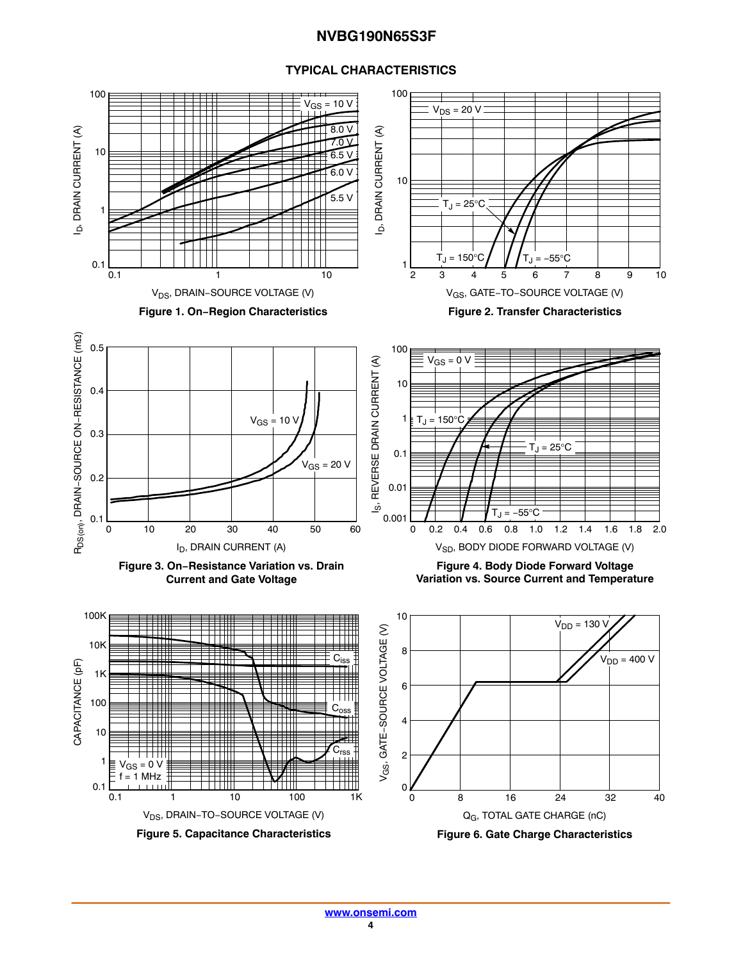#### **TYPICAL CHARACTERISTICS**

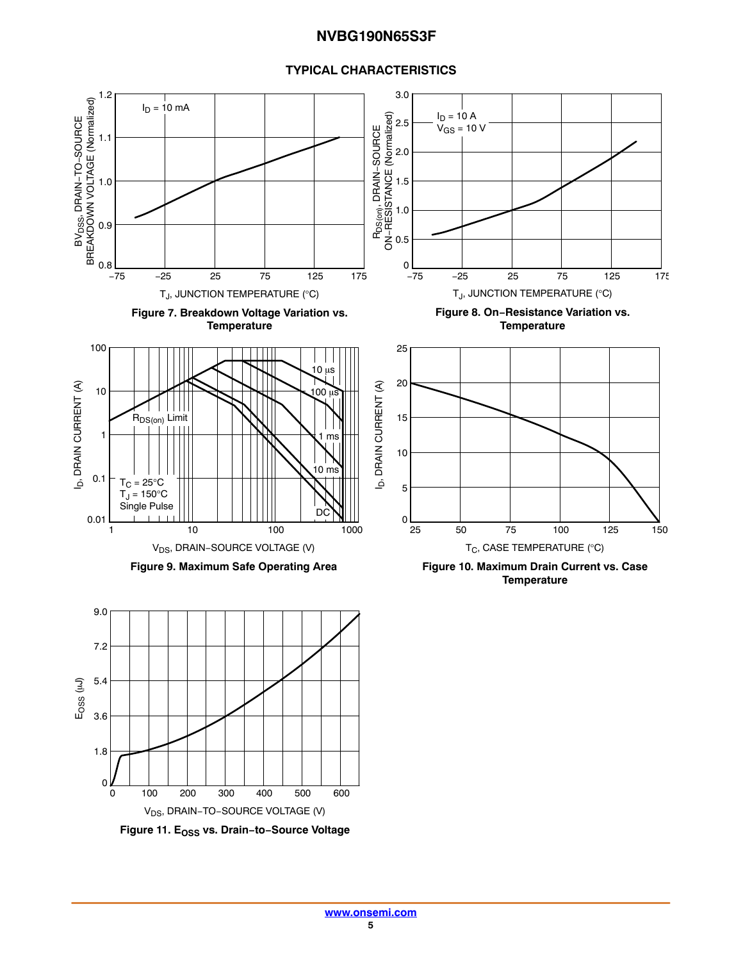#### **TYPICAL CHARACTERISTICS**

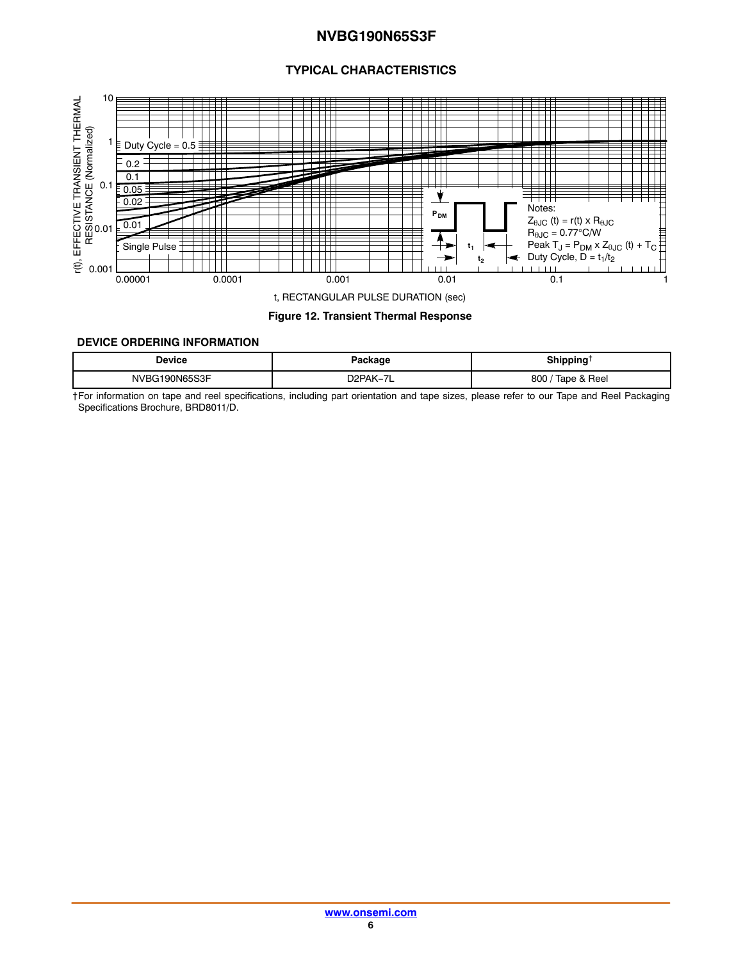#### **TYPICAL CHARACTERISTICS**

<span id="page-5-0"></span>

#### **Figure 12. Transient Thermal Response**

#### **DEVICE ORDERING INFORMATION**

| Device  | Package               | <b>Shipping</b><br>--- |
|---------|-----------------------|------------------------|
| 0N65S3F | שמחמ<br>$\rightarrow$ | Tape & Reel<br>800     |

†For information on tape and reel specifications, including part orientation and tape sizes, please refer to our Tape and Reel Packaging Specifications Brochure, BRD8011/D.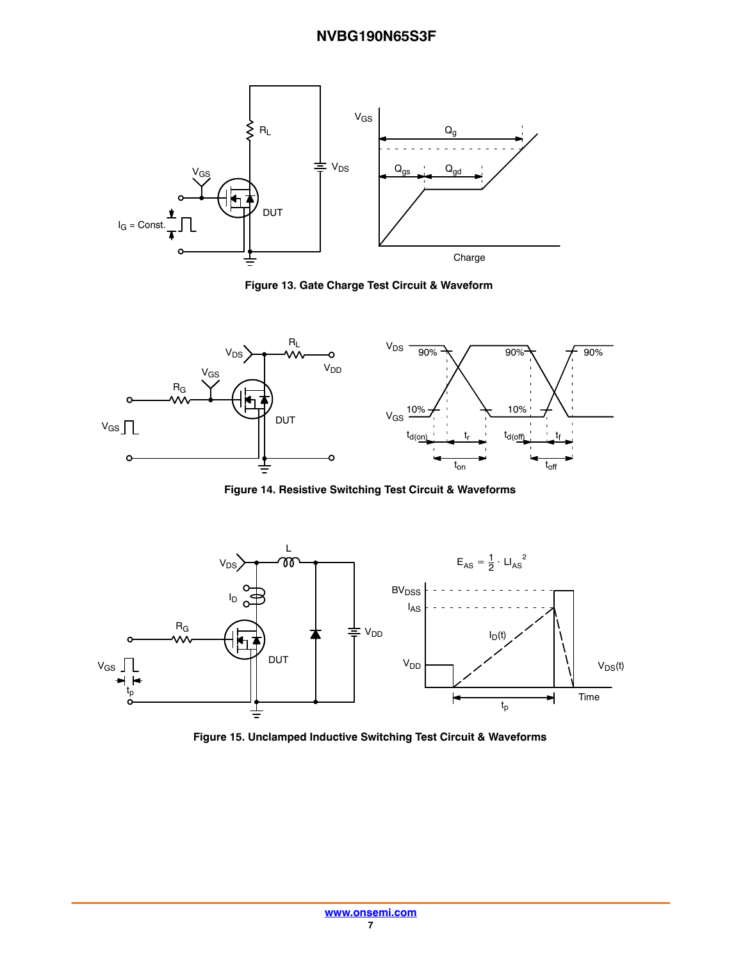

**Figure 13. Gate Charge Test Circuit & Waveform**



**Figure 14. Resistive Switching Test Circuit & Waveforms**



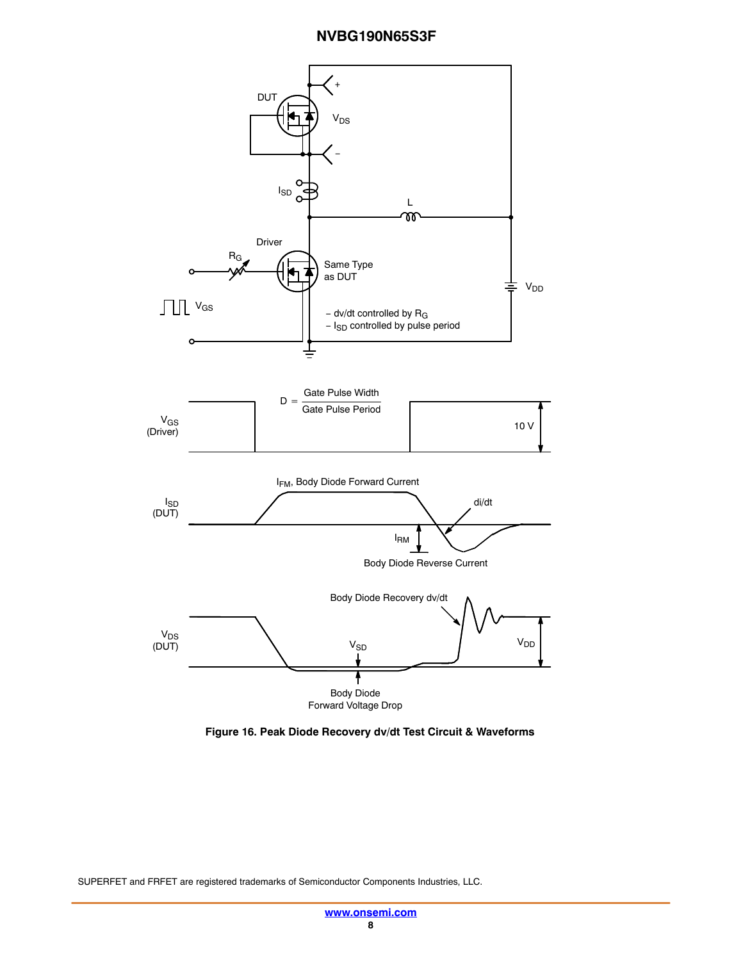

**Figure 16. Peak Diode Recovery dv/dt Test Circuit & Waveforms**

SUPERFET and FRFET are registered trademarks of Semiconductor Components Industries, LLC.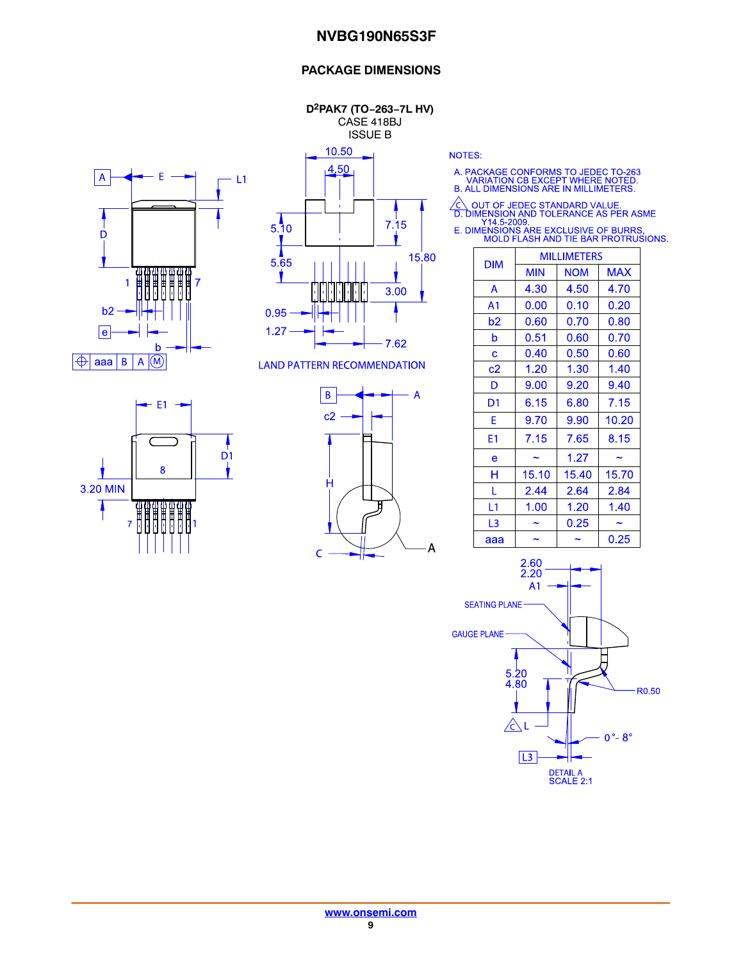#### **PACKAGE DIMENSIONS**

**D2PAK7 (TO−263−7L HV)** CASE 418BJ ISSUE B





**LAND PATTERN RECOMMENDATION** 





**NOTES:** 

A. PACKAGE CONFORMS TO JEDEC TO-263<br>VARIATION CB EXCEPT WHERE NOTED.<br>B. ALL DIMENSIONS ARE IN MILLIMETERS.

△ OUT OF JEDEC STANDARD VALUE.<br>
D. DIMENSION AND TOLERANCE AS PER ASME<br>
Y14.5-2009.<br>
E. DIMENSIONS ARE EXCLUSIVE OF BURRS.<br>
MOLD FLASH AND TIE BAR PROTRUSIONS.

| <b>DIM</b>     | <b>MILLIMETERS</b> |            |            |  |
|----------------|--------------------|------------|------------|--|
|                | <b>MIN</b>         | <b>NOM</b> | <b>MAX</b> |  |
| A              | 4.30               | 4.50       | 4.70       |  |
| A <sub>1</sub> | 0.00               | 0.10       | 0.20       |  |
| b2             | 0.60               | 0.70       | 0.80       |  |
| b              | 0.51               | 0.60       | 0.70       |  |
| C              | 0.40               | 0.50       | 0.60       |  |
| c2             | 1.20               | 1.30       | 1.40       |  |
| D              | 9.00               | 9.20       | 9.40       |  |
| D1             | 6.15               | 6.80       | 7.15       |  |
| F              | 9.70               | 9.90       | 10.20      |  |
| E1             | 7.15               | 7.65       | 8.15       |  |
| e              |                    | 1.27       |            |  |
| н              | 15.10              | 15.40      | 15.70      |  |
| L              | 2.44               | 2.64       | 2.84       |  |
| L1             | 1.00               | 1.20       | 1.40       |  |
| L3             |                    | 0.25       |            |  |
| ааа            |                    |            | 0.25       |  |